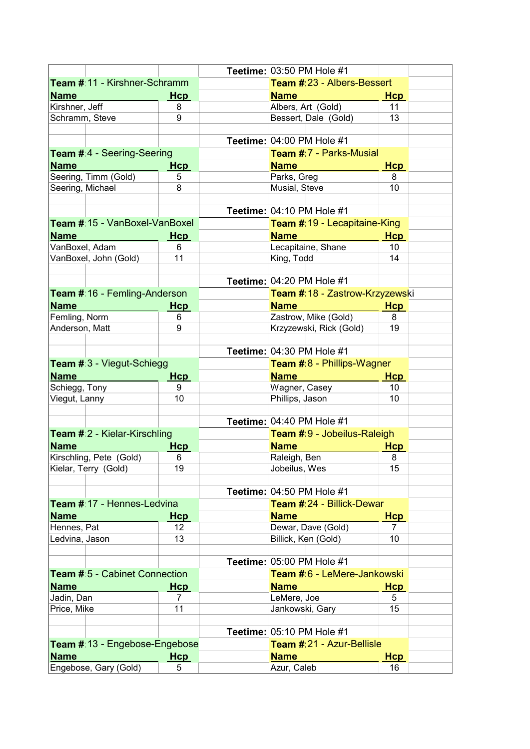|                                      |                 |  | <b>Teetime: 03:50 PM Hole #1</b>  |                  |  |
|--------------------------------------|-----------------|--|-----------------------------------|------------------|--|
| Team # 11 - Kirshner-Schramm         |                 |  | Team # 23 - Albers-Bessert        |                  |  |
| <b>Name</b>                          | <b>Hcp</b>      |  | <b>Name</b>                       | <u>Hcp</u>       |  |
| Kirshner, Jeff                       | 8               |  | Albers, Art (Gold)                | 11               |  |
| Schramm, Steve                       | 9               |  | Bessert, Dale (Gold)              | 13               |  |
|                                      |                 |  |                                   |                  |  |
|                                      |                 |  | Teetime: 04:00 PM Hole #1         |                  |  |
| <b>Team # 4 - Seering-Seering</b>    |                 |  | Team # 7 - Parks-Musial           |                  |  |
| <b>Name</b>                          | <u>Hcp</u>      |  | <b>Name</b>                       | <u>Hcp</u>       |  |
| Seering, Timm (Gold)                 | 5               |  | Parks, Greg                       | 8                |  |
| Seering, Michael                     | 8               |  | Musial, Steve                     | 10               |  |
|                                      |                 |  |                                   |                  |  |
|                                      |                 |  | Teetime: 04:10 PM Hole #1         |                  |  |
| Team # 15 - VanBoxel-VanBoxel        |                 |  | Team # 19 - Lecapitaine-King      |                  |  |
| <b>Name</b>                          | <u>Hcp</u>      |  | <b>Name</b>                       | <u>Hcp</u>       |  |
| VanBoxel, Adam                       | 6               |  | Lecapitaine, Shane                | 10               |  |
| VanBoxel, John (Gold)                | 11              |  | King, Todd                        | 14               |  |
|                                      |                 |  |                                   |                  |  |
|                                      |                 |  | Teetime: 04:20 PM Hole #1         |                  |  |
| Team # 16 - Femling-Anderson         |                 |  | Team # 18 - Zastrow-Krzyzewski    |                  |  |
| <b>Name</b>                          | Hcp             |  | <b>Name</b>                       | <b>Hcp</b>       |  |
| Femling, Norm                        | 6               |  | Zastrow, Mike (Gold)              | 8                |  |
| Anderson, Matt                       | 9               |  | Krzyzewski, Rick (Gold)           | 19               |  |
|                                      |                 |  |                                   |                  |  |
|                                      |                 |  | Teetime: 04:30 PM Hole #1         |                  |  |
| <b>Team #3 - Viegut-Schiegg</b>      |                 |  | <b>Team # 8 - Phillips-Wagner</b> |                  |  |
| <b>Name</b>                          | <b>Hcp</b>      |  | <b>Name</b>                       | <u>Hcp</u>       |  |
|                                      | 9               |  | Wagner, Casey                     | 10               |  |
|                                      |                 |  |                                   |                  |  |
| Schiegg, Tony                        | 10              |  |                                   | 10               |  |
| Viegut, Lanny                        |                 |  | Phillips, Jason                   |                  |  |
|                                      |                 |  |                                   |                  |  |
|                                      |                 |  | Teetime: 04:40 PM Hole #1         |                  |  |
| Team # 2 - Kielar-Kirschling         |                 |  | Team # 9 - Jobeilus-Raleigh       |                  |  |
| <b>Name</b>                          | <b>Hcp</b><br>6 |  | <b>Name</b>                       | <u>Hcp</u><br>8  |  |
| Kirschling, Pete (Gold)              | 19              |  | Raleigh, Ben                      | 15               |  |
| Kielar, Terry (Gold)                 |                 |  | Jobeilus, Wes                     |                  |  |
|                                      |                 |  | Teetime: 04:50 PM Hole #1         |                  |  |
| Team # 17 - Hennes-Ledvina           |                 |  | Team # 24 - Billick-Dewar         |                  |  |
|                                      |                 |  |                                   |                  |  |
| <b>Name</b>                          | <u>Hcp</u>      |  | <b>Name</b>                       | <u>Hcp</u><br>7  |  |
| Hennes, Pat<br>Ledvina, Jason        | 12<br>13        |  | Dewar, Dave (Gold)                | 10               |  |
|                                      |                 |  | Billick, Ken (Gold)               |                  |  |
|                                      |                 |  | Teetime: 05:00 PM Hole #1         |                  |  |
| <b>Team # 5 - Cabinet Connection</b> |                 |  | Team # 6 - LeMere-Jankowski       |                  |  |
|                                      |                 |  |                                   |                  |  |
| <b>Name</b>                          | <u>Hcp</u><br>7 |  | <b>Name</b>                       | <u>Hcp</u><br>5  |  |
| Jadin, Dan<br>Price, Mike            | 11              |  | LeMere, Joe<br>Jankowski, Gary    | 15               |  |
|                                      |                 |  |                                   |                  |  |
|                                      |                 |  | Teetime: 05:10 PM Hole #1         |                  |  |
|                                      |                 |  | Team # 21 - Azur-Bellisle         |                  |  |
| Team # 13 - Engebose-Engebose        |                 |  |                                   |                  |  |
| <b>Name</b><br>Engebose, Gary (Gold) | <b>Hcp</b><br>5 |  | <b>Name</b><br>Azur, Caleb        | <u>Hcp</u><br>16 |  |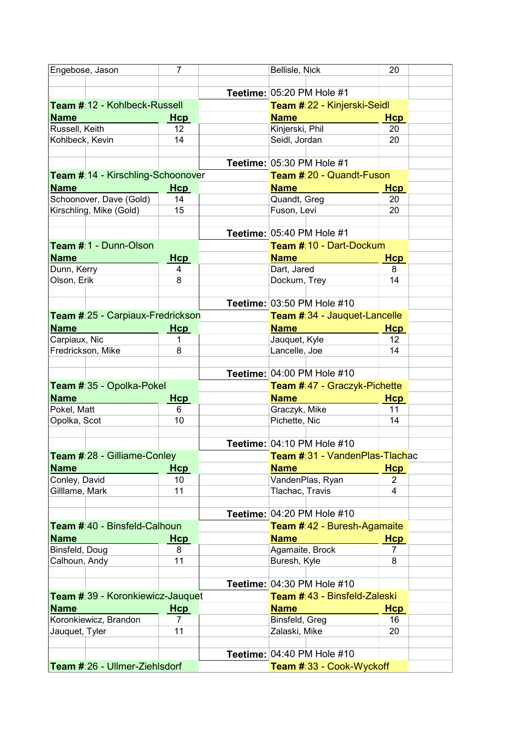| Engebose, Jason                   | 7                            |  | Bellisle, Nick                       | 20          |  |
|-----------------------------------|------------------------------|--|--------------------------------------|-------------|--|
|                                   |                              |  |                                      |             |  |
|                                   |                              |  | Teetime: 05:20 PM Hole #1            |             |  |
| Team # 12 - Kohlbeck-Russell      |                              |  | Team # 22 - Kinjerski-Seidl          |             |  |
| <b>Name</b><br><u>Hcp</u>         |                              |  | <b>Name</b>                          | <u>Hcp</u>  |  |
| Russell, Keith                    | 12                           |  | Kinjerski, Phil                      | 20          |  |
| Kohlbeck, Kevin                   | 14                           |  | Seidl, Jordan                        | 20          |  |
|                                   |                              |  |                                      |             |  |
|                                   |                              |  | Teetime: 05:30 PM Hole #1            |             |  |
|                                   |                              |  |                                      |             |  |
| Team # 14 - Kirschling-Schoonover |                              |  | Team # 20 - Quandt-Fuson             |             |  |
| <b>Name</b>                       | Hcp                          |  | <b>Name</b>                          | <u>Hcp_</u> |  |
| Schoonover, Dave (Gold)           | 14                           |  | Quandt, Greg                         | 20          |  |
| Kirschling, Mike (Gold)           | 15                           |  | Fuson, Levi                          | 20          |  |
|                                   |                              |  |                                      |             |  |
|                                   |                              |  | Teetime: 05:40 PM Hole #1            |             |  |
| Team # 1 - Dunn-Olson             |                              |  | Team # 10 - Dart-Dockum              |             |  |
| <b>Name</b>                       | <b>Hcp</b>                   |  | <b>Name</b>                          | <u>Hcp</u>  |  |
| Dunn, Kerry                       | 4                            |  | Dart, Jared                          | 8           |  |
| Olson, Erik                       | 8                            |  | Dockum, Trey                         | 14          |  |
|                                   |                              |  |                                      |             |  |
|                                   |                              |  | Teetime: 03:50 PM Hole #10           |             |  |
|                                   |                              |  |                                      |             |  |
| Team # 25 - Carpiaux-Fredrickson  |                              |  | Team # 34 - Jauquet-Lancelle         |             |  |
| Name                              | <u>Hcp</u>                   |  | <b>Name</b>                          | <u>Hcp</u>  |  |
| Carpiaux, Nic                     | 1                            |  | Jauquet, Kyle                        | 12          |  |
| Fredrickson, Mike                 | 8                            |  | Lancelle, Joe                        | 14          |  |
|                                   |                              |  |                                      |             |  |
|                                   |                              |  | Teetime: 04:00 PM Hole #10           |             |  |
| Team # 35 - Opolka-Pokel          |                              |  | Team # 47 - Graczyk-Pichette         |             |  |
| Name                              | Hcp                          |  | <b>Name</b>                          | <b>Hcp</b>  |  |
| Pokel, Matt                       | 6                            |  | Graczyk, Mike                        | 11          |  |
| Opolka, Scot                      | 10                           |  | Pichette, Nic                        | 14          |  |
|                                   |                              |  |                                      |             |  |
|                                   |                              |  | Teetime: 04:10 PM Hole #10           |             |  |
|                                   |                              |  | <b>Team #31 - VandenPlas-Tlachac</b> |             |  |
| Team # 28 - Gilliame-Conley       |                              |  |                                      |             |  |
| <b>Name</b>                       | <b>Hcp</b>                   |  | <b>Name</b>                          | <b>Hcp</b>  |  |
| Conley, David                     | 10                           |  | VandenPlas, Ryan                     | 2           |  |
| Gilllame, Mark                    | 11                           |  | Tlachac, Travis                      | 4           |  |
|                                   |                              |  |                                      |             |  |
|                                   |                              |  | Teetime: 04:20 PM Hole #10           |             |  |
| Team # 40 - Binsfeld-Calhoun      |                              |  | Team # 42 - Buresh-Agamaite          |             |  |
| <b>Name</b>                       | <b>Hcp</b>                   |  | <b>Name</b>                          | <b>Hcp</b>  |  |
| Binsfeld, Doug                    | 8                            |  | Agamaite, Brock                      | 7           |  |
| Calhoun, Andy                     | 11                           |  | Buresh, Kyle                         | 8           |  |
|                                   |                              |  |                                      |             |  |
|                                   |                              |  | Teetime: 04:30 PM Hole #10           |             |  |
| Team # 39 - Koronkiewicz-Jauquet  | Team # 43 - Binsfeld-Zaleski |  |                                      |             |  |
| <b>Name</b>                       |                              |  | <b>Name</b>                          |             |  |
|                                   | <u>Hcp</u>                   |  |                                      | Hcp         |  |
| Koronkiewicz, Brandon             | 7                            |  | Binsfeld, Greg                       | 16          |  |
| Jauquet, Tyler                    | 11                           |  | Zalaski, Mike                        | 20          |  |
|                                   |                              |  |                                      |             |  |
|                                   |                              |  | Teetime: 04:40 PM Hole #10           |             |  |
| Team # 26 - Ullmer-Ziehlsdorf     |                              |  | Team # 33 - Cook-Wyckoff             |             |  |